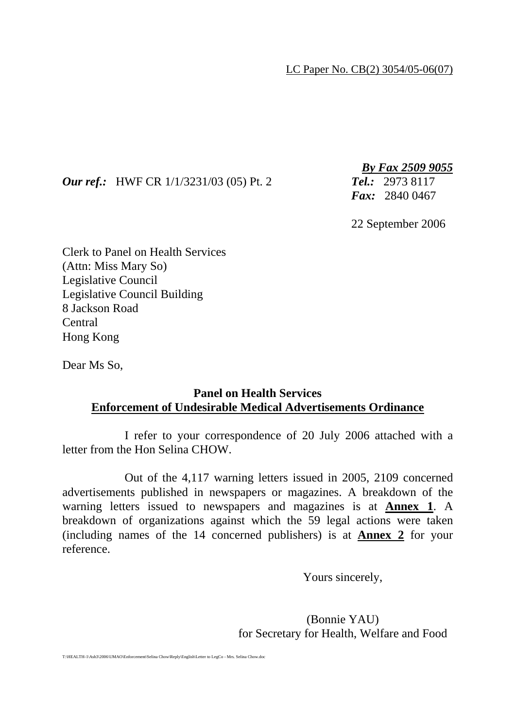LC Paper No. CB(2) 3054/05-06(07)

## *Our ref.:* HWF CR 1/1/3231/03 (05) Pt. 2 *Tel.:* 2973 8117

*By Fax 2509 9055*

*Fax:* 2840 0467

22 September 2006

Clerk to Panel on Health Services (Attn: Miss Mary So) Legislative Council Legislative Council Building 8 Jackson Road Central Hong Kong

Dear Ms So,

## **Panel on Health Services Enforcement of Undesirable Medical Advertisements Ordinance**

 I refer to your correspondence of 20 July 2006 attached with a letter from the Hon Selina CHOW.

 Out of the 4,117 warning letters issued in 2005, 2109 concerned advertisements published in newspapers or magazines. A breakdown of the warning letters issued to newspapers and magazines is at **Annex 1**. A breakdown of organizations against which the 59 legal actions were taken (including names of the 14 concerned publishers) is at **Annex 2** for your reference.

Yours sincerely,

 (Bonnie YAU) for Secretary for Health, Welfare and Food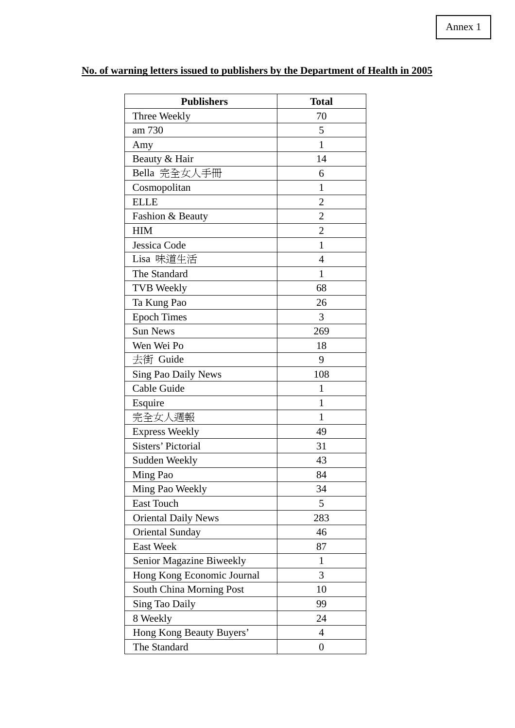| <b>Publishers</b>          | <b>Total</b>     |
|----------------------------|------------------|
| Three Weekly               | 70               |
| am 730                     | 5                |
| Amy                        | $\mathbf{1}$     |
| Beauty & Hair              | 14               |
| Bella 完全女人手冊               | 6                |
| Cosmopolitan               | $\mathbf{1}$     |
| <b>ELLE</b>                | $\overline{2}$   |
| Fashion & Beauty           | $\overline{c}$   |
| <b>HIM</b>                 | $\overline{2}$   |
| Jessica Code               | $\mathbf{1}$     |
| Lisa 味道生活                  | $\overline{4}$   |
| The Standard               | $\mathbf{1}$     |
| <b>TVB Weekly</b>          | 68               |
| Ta Kung Pao                | 26               |
| <b>Epoch Times</b>         | 3                |
| <b>Sun News</b>            | 269              |
| Wen Wei Po                 | 18               |
| 去街 Guide                   | 9                |
| <b>Sing Pao Daily News</b> | 108              |
| Cable Guide                | $\mathbf{1}$     |
| Esquire                    | 1                |
| 完全女人週報                     | 1                |
| <b>Express Weekly</b>      | 49               |
| <b>Sisters' Pictorial</b>  | 31               |
| Sudden Weekly              | 43               |
| Ming Pao                   | 84               |
| Ming Pao Weekly            | 34               |
| East Touch                 | 5                |
| <b>Oriental Daily News</b> | 283              |
| <b>Oriental Sunday</b>     | 46               |
| <b>East Week</b>           | 87               |
| Senior Magazine Biweekly   | $\mathbf{1}$     |
| Hong Kong Economic Journal | 3                |
| South China Morning Post   | 10               |
| <b>Sing Tao Daily</b>      | 99               |
| 8 Weekly                   | 24               |
| Hong Kong Beauty Buyers'   | $\overline{4}$   |
| The Standard               | $\boldsymbol{0}$ |

## **No. of warning letters issued to publishers by the Department of Health in 2005**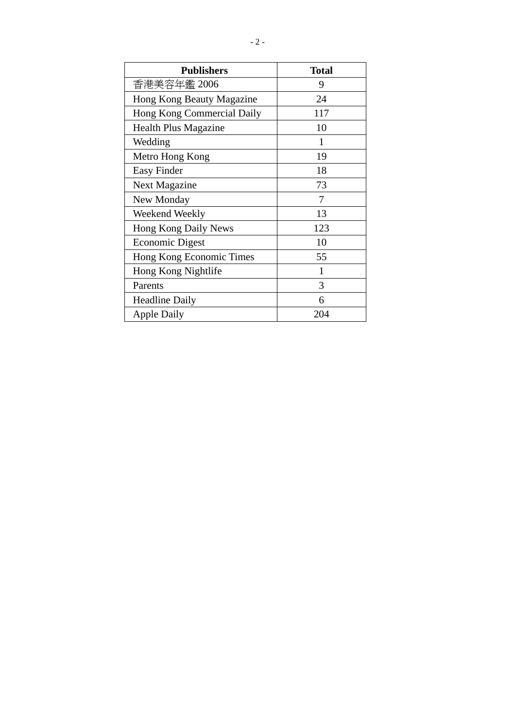| <b>Publishers</b>           | <b>Total</b> |
|-----------------------------|--------------|
| 香港美容年鑑 2006                 | 9            |
| Hong Kong Beauty Magazine   | 24           |
| Hong Kong Commercial Daily  | 117          |
| <b>Health Plus Magazine</b> | 10           |
| Wedding                     | 1            |
| Metro Hong Kong             | 19           |
| Easy Finder                 | 18           |
| <b>Next Magazine</b>        | 73           |
| New Monday                  | 7            |
| Weekend Weekly              | 13           |
| Hong Kong Daily News        | 123          |
| <b>Economic Digest</b>      | 10           |
| Hong Kong Economic Times    | 55           |
| Hong Kong Nightlife         | 1            |
| Parents                     | 3            |
| <b>Headline Daily</b>       | 6            |
| <b>Apple Daily</b>          | 204          |